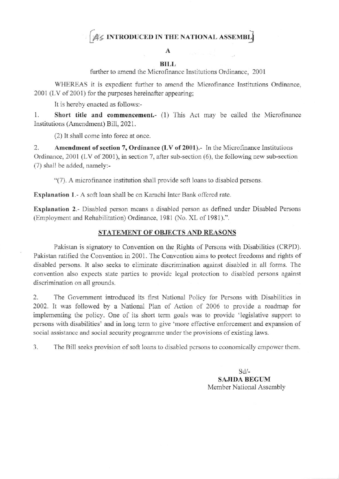# AS INTRODUCED IN THE NATIONAL ASSEMBLE

### A

#### **BILL**

further to amend the Microfinance Institutions Ordinance, 2001

WHEREAS it is expedient further to amend the Microfinance Institutions Ordinance, 2001 (LV of 2001) for the purposes hereinafter appearing;

It is hereby enacted as follows:-

1. Short title and commencement.- (1) This Act may be called the Microfinance Institutions (Amendment) Bill, 2021.

(2) It shall come into force at once.

2. Amendment of section 7, Ordinance (LV of 2001).- In the Microfinance Institutions Ordinance, 2001 (LV of 2001), in section 7, after sub-section (6), the following new sub-section (7) shall be added, namely:-

"(7). A microfinance institution shall provide soft loans to disabled persons.

**Explanation 1.-** A soft loan shall be on Karachi Inter Bank offered rate.

**Explanation 2.-** Disabled person means a disabled person as defined under Disabled Persons (Employment and Rehabilitation) Ordinance, 1981 (No. XL of 1981).".

### STATEMENT OF OBJECTS AND REASONS

Pakistan is signatory to Convention on the Rights of Persons with Disabilities (CRPD). Pakistan ratified the Convention in 2001. The Convention aims to protect freedoms and rights of disabled persons. It also seeks to eliminate discrimination against disabled in all forms. The convention also expects state parties to provide legal protection to disabled persons against discrimination on all grounds.

2. The Government introduced its first National Policy for Persons with Disabilities in 2002. It was followed by a National Plan of Action of 2006 to provide a roadmap for implementing the policy. One of its short term goals was to provide 'legislative support to persons with disabilities' and in long term to give 'more effective enforcement and expansion of social assistance and social security programme under the provisions of existing laws.

3. The Bill seeks provision of soft loans to disabled persons to economically empower them.

> $Sd$ -**SAJIDA BEGUM** Member National Assembly